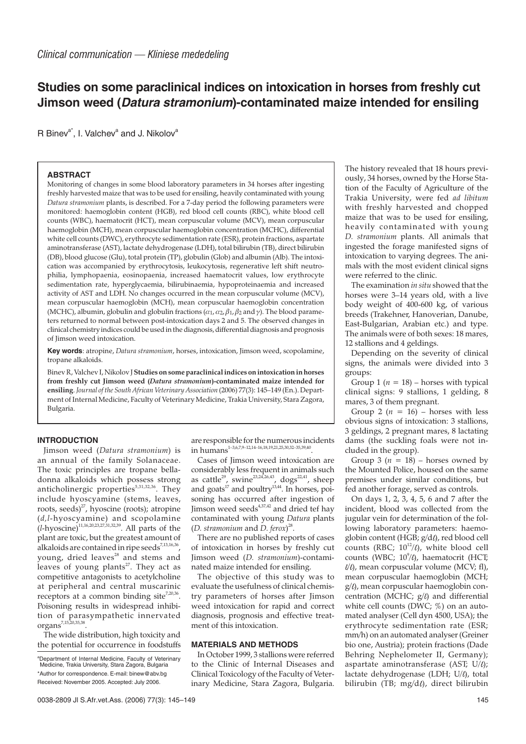# **Studies on some paraclinical indices on intoxication in horses from freshly cut Jimson weed (Datura stramonium)-contaminated maize intended for ensiling**

R Binev<sup>a\*</sup>, I. Valchev<sup>a</sup> and J. Nikolov<sup>a</sup>

# **ABSTRACT**

Monitoring of changes in some blood laboratory parameters in 34 horses after ingesting freshly harvested maize that was to be used for ensiling, heavily contaminated with young *Datura stramonium* plants, is described. For a 7-day period the following parameters were monitored: haemoglobin content (HGB), red blood cell counts (RBC), white blood cell counts (WBC), haematocrit (HCT), mean corpuscular volume (MCV), mean corpuscular haemoglobin (MCH), mean corpuscular haemoglobin concentration (MCHC), differential white cell counts (DWC), erythrocyte sedimentation rate (ESR), protein fractions, aspartate aminotransferase (AST), lactate dehydrogenase (LDH), total bilirubin (TB), direct bilirubin (DB), blood glucose (Glu), total protein (TP), globulin (Glob) and albumin (Alb). The intoxication was accompanied by erythrocytosis, leukocytosis, regenerative left shift neutrophilia, lymphopaenia, eosinopaenia, increased haematocrit values, low erythrocyte sedimentation rate, hyperglycaemia, bilirubinaemia, hypoproteinaemia and increased activity of AST and LDH. No changes occurred in the mean corpuscular volume (MCV), mean corpuscular haemoglobin (MCH), mean corpuscular haemoglobin concentration (MCHC), albumin, globulin and globulin fractions ( $\alpha_1$ ,  $\alpha_2$ ,  $\beta_1$ ,  $\beta_2$  and  $\gamma$ ). The blood parameters returned to normal between post-intoxication days 2 and 5. The observed changes in clinical chemistry indices could be used in the diagnosis, differential diagnosis and prognosis of Jimson weed intoxication.

**Key words**: atropine, *Datura stramonium*, horses, intoxication, Jimson weed, scopolamine, tropane alkaloids.

Binev R, Valchev I, Nikolov J**Studies on some paraclinical indices on intoxication in horses from freshly cut Jimson weed (***Datura stramonium***)-contaminated maize intended for ensiling**. *Journal of the South African Veterinary Association* (2006) 77(3): 145–149 (En.). Department of Internal Medicine, Faculty of Veterinary Medicine, Trakia University, Stara Zagora, Bulgaria.

## **INTRODUCTION**

Jimson weed (*Datura stramonium*) is an annual of the family Solanaceae. The toxic principles are tropane belladonna alkaloids which possess strong anticholinergic properties<sup>5,31,32,36</sup>. They include hyoscyamine (stems, leaves, roots, seeds) $^{27}$ , hyoscine (roots); atropine (*d,l*-hyoscyamine) and scopolamine  $(l\text{-}hvoscine)^{11,16,20,23,27,31,32,39}$ . All parts of the plant are toxic, but the greatest amount of alkaloids are contained in ripe seeds<sup>7,13,16,36</sup> voung, dried leaves<sup>28</sup> and stems and leaves of young plants<sup>27</sup>. They act as competitive antagonists to acetylcholine at peripheral and central muscarinic receptors at a common binding site<sup>7,20,36</sup>. Poisoning results in widespread inhibition of parasympathetic innervated organs7,15,20,35,38.

The wide distribution, high toxicity and the potential for occurrence in foodstuffs

are responsible for the numerous incidents in humans1–3,6,7,9–12,14–16,18,19,21,25,30,32–35,39,40.

Cases of Jimson weed intoxication are considerably less frequent in animals such as cattle $^{29}$ , swine $^{23,24,26,43}$ , dogs $^{22,41}$ , sheep and goats<sup>17</sup> and poultry<sup>13,44</sup>. In horses, poisoning has occurred after ingestion of Jimson weed seeds4,37,42 and dried tef hay contaminated with young *Datura* plants (*D. stramonium* and *D. ferox*) 28.

There are no published reports of cases of intoxication in horses by freshly cut Jimson weed (*D. stramonium*)-contaminated maize intended for ensiling.

The objective of this study was to evaluate the usefulness of clinical chemistry parameters of horses after Jimson weed intoxication for rapid and correct diagnosis, prognosis and effective treatment of this intoxication.

# **MATERIALS AND METHODS**

In October 1999, 3 stallions were referred to the Clinic of Internal Diseases and Clinical Toxicology of the Faculty of Veterinary Medicine, Stara Zagora, Bulgaria.

The history revealed that 18 hours previously, 34 horses, owned by the Horse Station of the Faculty of Agriculture of the Trakia University, were fed *ad libitum* with freshly harvested and chopped maize that was to be used for ensiling, heavily contaminated with young *D. stramonium* plants. All animals that ingested the forage manifested signs of intoxication to varying degrees. The animals with the most evident clinical signs were referred to the clinic.

The examination *in situ* showed that the horses were 3–14 years old, with a live body weight of 400-600 kg, of various breeds (Trakehner, Hanoverian, Danube, East-Bulgarian, Arabian etc.) and type. The animals were of both sexes: 18 mares, 12 stallions and 4 geldings.

Depending on the severity of clinical signs, the animals were divided into 3 groups:

Group 1 ( $n = 18$ ) – horses with typical clinical signs: 9 stallions, 1 gelding, 8 mares, 3 of them pregnant.

Group 2 ( $n = 16$ ) – horses with less obvious signs of intoxication: 3 stallions, 3 geldings, 2 pregnant mares, 8 lactating dams (the suckling foals were not included in the group).

Group 3 ( $n = 18$ ) – horses owned by the Mounted Police, housed on the same premises under similar conditions, but fed another forage, served as controls.

On days 1, 2, 3, 4, 5, 6 and 7 after the incident, blood was collected from the jugular vein for determination of the following laboratory parameters: haemoglobin content (HGB;  $g/d\ell$ ), red blood cell counts (RBC;  $10^{12}$ /l), white blood cell counts (WBC; 10<sup>9</sup>/ℓ), haematocrit (HCT;  $\ell/\ell$ , mean corpuscular volume (MCV; fl), mean corpuscular haemoglobin (MCH;  $g/\ell$ ), mean corpuscular haemoglobin concentration (MCHC;  $g/l$ ) and differential white cell counts (DWC;  $\%$ ) on an automated analyser (Cell dyn 4500, USA); the erythrocyte sedimentation rate (ESR; mm/h) on an automated analyser (Greiner bio one, Austria); protein fractions (Dade Behring Nephelometer II, Germany); aspartate aminotransferase (AST;  $U/\ell$ ); lactate dehydrogenase (LDH; U/ $\ell$ ), total bilirubin (TB;  $mg/d\ell$ ), direct bilirubin

aDepartment of Internal Medicine, Faculty of Veterinary Medicine, Trakia University, Stara Zagora, Bulgaria \*Author for correspondence. E-mail: binew@abv.bg Received: November 2005. Accepted: July 2006.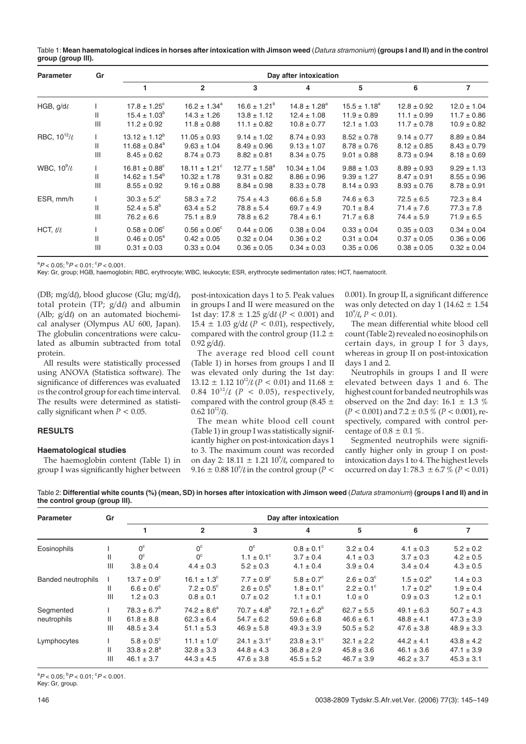| Table 1: Mean haematological indices in horses after intoxication with Jimson weed (Datura stramonium) (groups I and II) and in the control |  |
|---------------------------------------------------------------------------------------------------------------------------------------------|--|
| group (group III).                                                                                                                          |  |

| <b>Parameter</b>       | Gr  | Day after intoxication        |                          |                         |                              |                   |                 |                 |
|------------------------|-----|-------------------------------|--------------------------|-------------------------|------------------------------|-------------------|-----------------|-----------------|
|                        |     |                               | $\overline{2}$           | 3                       | 4                            | 5                 | 6               | $\overline{7}$  |
| HGB, $g/d\ell$         |     | $17.8 \pm 1.25^{\circ}$       | $16.2 \pm 1.34^a$        | $16.6 \pm 1.21^{\circ}$ | $14.8 \pm 1.28$ <sup>a</sup> | $15.5 \pm 1.18^a$ | $12.8 \pm 0.92$ | $12.0 \pm 1.04$ |
|                        | Ш   | $15.4 \pm 1.03^{\circ}$       | $14.3 \pm 1.26$          | $13.8 \pm 1.12$         | $12.4 \pm 1.08$              | $11.9 \pm 0.89$   | $11.1 \pm 0.99$ | $11.7 \pm 0.86$ |
|                        | III | $11.2 \pm 0.92$               | $11.8 \pm 0.88$          | $11.1 \pm 0.82$         | $10.8 \pm 0.77$              | $12.1 \pm 1.03$   | $11.7 \pm 0.78$ | $10.9 \pm 0.82$ |
| RBC, $10^{12}/\ell$    |     | $13.12 \pm 1.12^{\circ}$      | $11.05 \pm 0.93$         | $9.14 \pm 1.02$         | $8.74 \pm 0.93$              | $8.52 \pm 0.78$   | $9.14 \pm 0.77$ | $8.89 \pm 0.84$ |
|                        | Ш   | $11.68 \pm 0.84$ <sup>a</sup> | $9.63 \pm 1.04$          | $8.49 \pm 0.96$         | $9.13 \pm 1.07$              | $8.78 \pm 0.76$   | $8.12 \pm 0.85$ | $8.43 \pm 0.79$ |
|                        | III | $8.45 \pm 0.62$               | $8.74 \pm 0.73$          | $8.82 \pm 0.81$         | $8.34 \pm 0.75$              | $9.01 \pm 0.88$   | $8.73 \pm 0.94$ | $8.18 \pm 0.69$ |
| WBC, $10^9$ / $\ell$   |     | $16.81 \pm 0.88^{\circ}$      | $18.11 \pm 1.21^{\circ}$ | $12.77 \pm 1.58^a$      | $10.34 \pm 1.04$             | $9.88 \pm 1.03$   | $8.89 \pm 0.93$ | $9.29 \pm 1.13$ |
|                        | Ш   | $14.62 \pm 1.54^b$            | $10.32 \pm 1.78$         | $9.31 \pm 0.82$         | $8.86 \pm 0.96$              | $9.39 \pm 1.27$   | $8.47 \pm 0.91$ | $8.55 \pm 0.96$ |
|                        | III | $8.55 \pm 0.92$               | $9.16 \pm 0.88$          | $8.84 \pm 0.98$         | $8.33 \pm 0.78$              | $8.14 \pm 0.93$   | $8.93 \pm 0.76$ | $8.78 \pm 0.91$ |
| ESR, mm/h              |     | $30.3 \pm 5.2^{\circ}$        | $58.3 \pm 7.2$           | $75.4 \pm 4.3$          | $66.6 \pm 5.8$               | $74.6 \pm 6.3$    | $72.5 \pm 6.5$  | $72.3 \pm 8.4$  |
|                        | Ш   | $52.4 \pm 5.8^{\circ}$        | $63.4 \pm 5.2$           | $78.8 \pm 5.4$          | $69.7 \pm 4.9$               | $70.1 \pm 8.4$    | $71.4 \pm 7.6$  | $77.3 \pm 7.8$  |
|                        | Ш   | $76.2 \pm 6.6$                | $75.1 \pm 8.9$           | $78.8 \pm 6.2$          | $78.4 \pm 6.1$               | $71.7 \pm 6.8$    | $74.4 \pm 5.9$  | $71.9 \pm 6.5$  |
| HCT, $\mathcal{U}\ell$ |     | $0.58 \pm 0.06^{\circ}$       | $0.56 \pm 0.06^{\circ}$  | $0.44 \pm 0.06$         | $0.38 \pm 0.04$              | $0.33 \pm 0.04$   | $0.35 \pm 0.03$ | $0.34 \pm 0.04$ |
|                        | Ш   | $0.46 \pm 0.05^{\circ}$       | $0.42 \pm 0.05$          | $0.32 \pm 0.04$         | $0.36 \pm 0.2$               | $0.31 \pm 0.04$   | $0.37 \pm 0.05$ | $0.36 \pm 0.06$ |
|                        | III | $0.31 \pm 0.03$               | $0.33 \pm 0.04$          | $0.36 \pm 0.05$         | $0.34 \pm 0.03$              | $0.35 \pm 0.06$   | $0.38 \pm 0.05$ | $0.32 \pm 0.04$ |

 ${}^{a}P$  < 0.05;  ${}^{b}P$  < 0.01;  ${}^{c}P$  < 0.001.

Key: Gr, group; HGB, haemoglobin; RBC, erythrocyte; WBC, leukocyte; ESR, erythrocyte sedimentation rates; HCT, haematocrit.

(DB; mg/d $\ell$ ), blood glucose (Glu; mg/d $\ell$ ), total protein (TP;  $g/d\ell$ ) and albumin (Alb;  $g/d\ell$ ) on an automated biochemical analyser (Olympus AU 600, Japan). The globulin concentrations were calculated as albumin subtracted from total protein.

All results were statistically processed using ANOVA (Statistica software). The significance of differences was evaluated *vs*the control group for each time interval. The results were determined as statistically significant when  $P < 0.05$ .

# **RESULTS**

#### **Haematological studies**

The haemoglobin content (Table 1) in group I was significantly higher between post-intoxication days 1 to 5. Peak values in groups I and II were measured on the 1st day:  $17.8 \pm 1.25$  g/d $\ell$  (*P* < 0.001) and 15.4  $\pm$  1.03 g/d*l* (*P* < 0.01), respectively, compared with the control group (11.2  $\pm$  $0.92$  g/d $\ell$ ).

The average red blood cell count (Table 1) in horses from groups I and II was elevated only during the 1st day:  $13.12 \pm 1.12 \frac{10^{12}}{\ell}$  (*P* < 0.01) and 11.68  $\pm$ 0.84  $10^{12}/\ell$  (*P* < 0.05), respectively, compared with the control group  $(8.45 \pm$  $0.62 \ 10^{12} / \ell$ ).

The mean white blood cell count (Table 1) in group I was statistically significantly higher on post-intoxication days 1 to 3. The maximum count was recorded on day 2:  $18.11 \pm 1.21 \frac{10^9}{l}$ , compared to  $9.16 \pm 0.88\,10^9$ / $\ell$  in the control group (P <

0.001). In group II, a significant difference was only detected on day 1 (14.62  $\pm$  1.54  $10^9/\ell$ ,  $P < 0.01$ ).

The mean differential white blood cell count (Table 2) revealed no eosinophils on certain days, in group I for 3 days, whereas in group II on post-intoxication days 1 and 2.

Neutrophils in groups I and II were elevated between days 1 and 6. The highest count for banded neutrophils was observed on the 2nd day:  $16.1 \pm 1.3 \%$  $(P < 0.001)$  and  $7.2 \pm 0.5$  % ( $P < 0.001$ ), respectively, compared with control percentage of  $0.8 \pm 0.1 \%$ .

Segmented neutrophils were significantly higher only in group I on postintoxication days 1 to 4. The highest levels occurred on day 1:78.3  $\pm 6.7$  % (*P* < 0.01)

Table 2: **Differential white counts (%) (mean, SD) in horses after intoxication with Jimson weed** (Datura stramonium) **(groups I and II) and in the control group (group llI).**

| <b>Parameter</b>          | Gr       | Day after intoxication                                           |                                                                  |                                                                 |                                                                 |                                                         |                                                     |                                                    |
|---------------------------|----------|------------------------------------------------------------------|------------------------------------------------------------------|-----------------------------------------------------------------|-----------------------------------------------------------------|---------------------------------------------------------|-----------------------------------------------------|----------------------------------------------------|
|                           |          |                                                                  | $\overline{2}$                                                   | 3                                                               | 4                                                               | 5                                                       | 6                                                   | 7                                                  |
| Eosinophils               | Ш<br>III | 0 <sup>c</sup><br>0 <sup>c</sup><br>$3.8 \pm 0.4$                | 0 <sup>c</sup><br>$0^{\circ}$<br>$4.4 \pm 0.3$                   | 0 <sup>c</sup><br>$1.1 \pm 0.1^{\circ}$<br>$5.2 \pm 0.3$        | $0.8 \pm 0.1^{\circ}$<br>$3.7 \pm 0.4$<br>$4.1 \pm 0.4$         | $3.2 \pm 0.4$<br>$4.1 \pm 0.3$<br>$3.9 \pm 0.4$         | $4.1 \pm 0.3$<br>$3.7 \pm 0.3$<br>$3.4 \pm 0.4$     | $5.2 \pm 0.2$<br>$4.2 \pm 0.5$<br>$4.3 \pm 0.5$    |
| <b>Banded neutrophils</b> | Ш.<br>Ш  | $13.7 \pm 0.9^{\circ}$<br>$6.6 \pm 0.6^{\circ}$<br>$1.2 \pm 0.3$ | $16.1 \pm 1.3^{\circ}$<br>$7.2 \pm 0.5^{\circ}$<br>$0.8 \pm 0.1$ | $7.7 \pm 0.9^{\circ}$<br>$2.6 \pm 0.5^{\circ}$<br>$0.7 \pm 0.2$ | $5.8 \pm 0.7^{\circ}$<br>$1.8 \pm 0.1^{\circ}$<br>$1.1 \pm 0.1$ | $2.6 \pm 0.3^{\circ}$<br>$2.2 \pm 0.1$ °<br>$1.0 \pm 0$ | $1.5 \pm 0.2^a$<br>$1.7 \pm 0.2^a$<br>$0.9 \pm 0.3$ | $1.4 \pm 0.3$<br>$1.9 \pm 0.4$<br>$1.2 \pm 0.1$    |
| Segmented<br>neutrophils  | Ш<br>Ш   | $78.3 \pm 6.7^b$<br>$61.8 \pm 8.8$<br>$48.5 \pm 3.4$             | $74.2 \pm 8.6^a$<br>$62.3 \pm 6.4$<br>$51.1 \pm 5.3$             | $70.7 \pm 4.8^b$<br>$54.7 \pm 6.2$<br>$46.9 \pm 5.8$            | $72.1 \pm 6.2^b$<br>$59.6 \pm 6.8$<br>$49.3 \pm 3.9$            | $62.7 \pm 5.5$<br>$46.6 \pm 6.1$<br>$50.5 \pm 5.2$      | $49.1 \pm 6.3$<br>$48.8 \pm 4.1$<br>$47.6 \pm 3.8$  | $50.7 \pm 4.3$<br>$47.3 \pm 3.9$<br>$48.9 \pm 3.3$ |
| Lymphocytes               | Ш<br>Ш   | $5.8 \pm 0.5^{\circ}$<br>$33.8 \pm 2.8^a$<br>$46.1 \pm 3.7$      | $11.1 \pm 1.0^{\circ}$<br>$32.8 \pm 3.3$<br>$44.3 \pm 4.5$       | $24.1 \pm 3.1^{\circ}$<br>$44.8 \pm 4.3$<br>$47.6 \pm 3.8$      | $23.8 \pm 3.1^{\circ}$<br>$36.8 \pm 2.9$<br>$45.5 \pm 5.2$      | $32.1 \pm 2.2$<br>$45.8 \pm 3.6$<br>$46.7 \pm 3.9$      | $44.2 \pm 4.1$<br>$46.1 \pm 3.6$<br>$46.2 \pm 3.7$  | $43.8 \pm 4.2$<br>$47.1 \pm 3.9$<br>$45.3 \pm 3.1$ |

 ${}^{a}P$  < 0.05;  ${}^{b}P$  < 0.01;  ${}^{c}P$  < 0.001.

Key: Gr, group.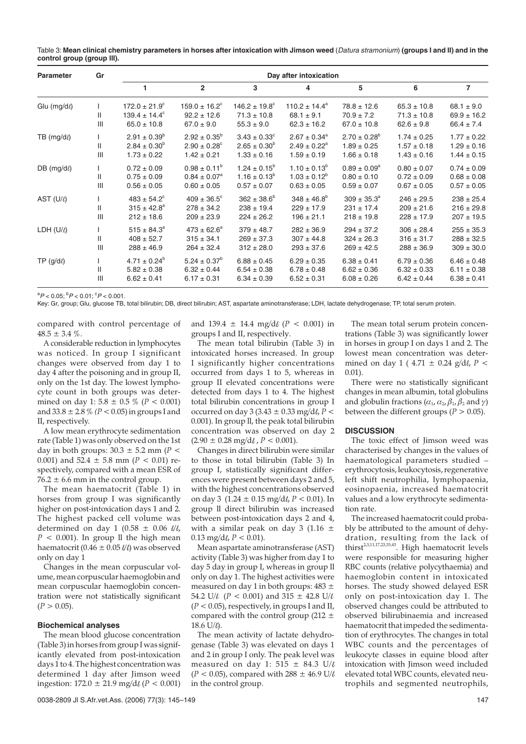|                            | Table 3: Mean clinical chemistry parameters in horses after intoxication with Jimson weed (Datura stramonium) (groups I and II) and in the |  |  |
|----------------------------|--------------------------------------------------------------------------------------------------------------------------------------------|--|--|
| control group (group III). |                                                                                                                                            |  |  |

| <b>Parameter</b> | Gr                               | Day after intoxication   |                              |                               |                              |                         |                 |                 |
|------------------|----------------------------------|--------------------------|------------------------------|-------------------------------|------------------------------|-------------------------|-----------------|-----------------|
|                  |                                  |                          | $\overline{2}$               | 3                             | 4                            | 5                       | 6               | $\overline{7}$  |
| Glu (mg/dl)      |                                  | $172.0 \pm 21.9^{\circ}$ | $159.0 \pm 16.2^{\circ}$     | $146.2 \pm 19.8$ <sup>c</sup> | $110.2 \pm 14.4^a$           | $78.8 \pm 12.6$         | $65.3 \pm 10.8$ | $68.1 \pm 9.0$  |
|                  | $\mathbf{H}$                     | $139.4 \pm 14.4^{\circ}$ | $92.2 \pm 12.6$              | $71.3 \pm 10.8$               | $68.1 \pm 9.1$               | $70.9 \pm 7.2$          | $71.3 \pm 10.8$ | $69.9 \pm 16.2$ |
|                  | Ш                                | $65.0 \pm 10.8$          | $67.0 \pm 9.0$               | $55.3 \pm 9.0$                | $62.3 \pm 16.2$              | $67.0 \pm 10.8$         | $62.6 \pm 9.8$  | $66.4 \pm 7.4$  |
| TB $(mg/d)$      |                                  | $2.91 \pm 0.39^b$        | $2.92 \pm 0.35^b$            | $3.43 \pm 0.33^{\circ}$       | $2.67 \pm 0.34$ <sup>a</sup> | $2.70 \pm 0.28^{\circ}$ | $1.74 \pm 0.25$ | $1.77 \pm 0.22$ |
|                  | Ш                                | $2.84 \pm 0.30^b$        | $2.90 \pm 0.28$ <sup>c</sup> | $2.65 \pm 0.30^b$             | $2.49 \pm 0.22^a$            | $1.89 \pm 0.25$         | $1.57 \pm 0.18$ | $1.29 \pm 0.16$ |
|                  | III                              | $1.73 \pm 0.22$          | $1.42 \pm 0.21$              | $1.33 \pm 0.16$               | $1.59 \pm 0.19$              | $1.66 \pm 0.18$         | $1.43 \pm 0.16$ | $1.44 \pm 0.15$ |
| DB $(mg/d)$      |                                  | $0.72 \pm 0.09$          | $0.98 \pm 0.11^b$            | $1.24 \pm 0.15^b$             | $1.10 \pm 0.13^b$            | $0.89 \pm 0.09^a$       | $0.80 \pm 0.07$ | $0.74 \pm 0.09$ |
|                  | Ш                                | $0.75 \pm 0.09$          | $0.84 \pm 0.07^a$            | $1.16 \pm 0.13^b$             | $1.03 \pm 0.12^b$            | $0.80 \pm 0.10$         | $0.72 \pm 0.09$ | $0.68 \pm 0.08$ |
|                  | $\mathop{\mathsf{III}}\nolimits$ | $0.56 \pm 0.05$          | $0.60 \pm 0.05$              | $0.57\pm0.07$                 | $0.63 \pm 0.05$              | $0.59 \pm 0.07$         | $0.67 \pm 0.05$ | $0.57 \pm 0.05$ |
| AST (U/l)        |                                  | $483 \pm 54.2^{\circ}$   | $409 \pm 36.5^{\circ}$       | $362 \pm 38.6^b$              | $348 \pm 46.8^b$             | $309 \pm 35.3^{\circ}$  | $246 \pm 29.5$  | $238 \pm 25.4$  |
|                  | Ш                                | $315 \pm 42.8^a$         | $278 \pm 34.2$               | $238 \pm 19.4$                | $229 \pm 17.9$               | $231 \pm 17.4$          | $209 \pm 21.6$  | $216 \pm 29.8$  |
|                  | $\mathop{\mathsf{III}}\nolimits$ | $212 \pm 18.6$           | $209 \pm 23.9$               | $224 \pm 26.2$                | $196 \pm 21.1$               | $218 \pm 19.8$          | $228 \pm 17.9$  | $207 \pm 19.5$  |
| LDH (U/l)        |                                  | $515 \pm 84.3^a$         | $473 \pm 62.6^a$             | $379 \pm 48.7$                | $282 \pm 36.9$               | $294 \pm 37.2$          | $306 \pm 28.4$  | $255 \pm 35.3$  |
|                  | Ш                                | $408 \pm 52.7$           | $315 \pm 34.1$               | $269 \pm 37.3$                | $307 \pm 44.8$               | $324 \pm 26.3$          | $316 \pm 31.7$  | $288 \pm 32.5$  |
|                  | $\mathop{\mathsf{III}}\nolimits$ | $288 \pm 46.9$           | $264 \pm 32.4$               | $312 \pm 28.0$                | $293 \pm 37.6$               | $269 \pm 42.5$          | $288 \pm 36.9$  | $309 \pm 30.0$  |
| TP $(g/d)$       |                                  | $4.71 \pm 0.24^b$        | $5.24 \pm 0.37^b$            | $6.88 \pm 0.45$               | $6.29 \pm 0.35$              | $6.38 \pm 0.41$         | $6.79 \pm 0.36$ | $6.46 \pm 0.48$ |
|                  | Ш                                | $5.82 \pm 0.38$          | $6.32 \pm 0.44$              | $6.54 \pm 0.38$               | $6.78 \pm 0.48$              | $6.62 \pm 0.36$         | $6.32 \pm 0.33$ | $6.11 \pm 0.38$ |
|                  | Ш                                | $6.62 \pm 0.41$          | $6.17 \pm 0.31$              | $6.34 \pm 0.39$               | $6.52 \pm 0.31$              | $6.08 \pm 0.26$         | $6.42 \pm 0.44$ | $6.38 \pm 0.41$ |

 ${}^{a}P$  < 0.05;  ${}^{b}P$  < 0.01;  ${}^{c}P$  < 0.001.

Key: Gr, group; Glu, glucose TB, total bilirubin; DB, direct bilirubin; AST, aspartate aminotransferase; LDH, lactate dehydrogenase; TP, total serum protein.

compared with control percentage of  $48.5 \pm 3.4 \%$ .

A considerable reduction in lymphocytes was noticed. In group I significant changes were observed from day 1 to day 4 after the poisoning and in group II, only on the 1st day. The lowest lymphocyte count in both groups was determined on day 1:  $5.8 \pm 0.5 \%$  ( $P < 0.001$ ) and  $33.8 \pm 2.8 \% (P < 0.05)$  in groups I and II, respectively.

A low mean erythrocyte sedimentation rate (Table 1) was only observed on the 1st day in both groups:  $30.3 \pm 5.2$  mm (*P* < 0.001) and  $52.4 \pm 5.8$  mm ( $P < 0.01$ ) respectively, compared with a mean ESR of  $76.2 \pm 6.6$  mm in the control group.

The mean haematocrit (Table 1) in horses from group I was significantly higher on post-intoxication days 1 and 2. The highest packed cell volume was determined on day 1 (0.58  $\pm$  0.06  $\ell\ell$ ,  $P < 0.001$ ). In group II the high mean haematocrit (0.46  $\pm$  0.05  $\ell/\ell$ ) was observed only on day 1

Changes in the mean corpuscular volume, mean corpuscular haemoglobin and mean corpuscular haemoglobin concentration were not statistically significant  $(P > 0.05)$ .

## **Biochemical analyses**

The mean blood glucose concentration (Table 3) in horses from group I was significantly elevated from post-intoxication days 1 to 4. The highest concentration was determined 1 day after Jimson weed ingestion:  $172.0 \pm 21.9$  mg/d $\ell$  ( $P < 0.001$ )

and  $139.4 \pm 14.4$  mg/d $\ell$  (*P* < 0.001) in groups I and II, respectively.

The mean total bilirubin (Table 3) in intoxicated horses increased. In group I significantly higher concentrations occurred from days 1 to 5, whereas in group II elevated concentrations were detected from days 1 to 4. The highest total bilirubin concentrations in group I occurred on day 3 (3.43  $\pm$  0.33 mg/d*l*,  $\overline{P}$  < 0.001). In group ll, the peak total bilirubin concentration was observed on day 2  $(2.90 \pm 0.28 \text{ mg/d} \ell, P < 0.001)$ .

Changes in direct bilirubin were similar to those in total bilirubin (Table 3) In group I, statistically significant differences were present between days 2 and 5, with the highest concentrations observed on day 3  $(1.24 \pm 0.15 \text{ mg/d} \ell, P < 0.01)$ . In group ll direct bilirubin was increased between post-intoxication days 2 and 4, with a similar peak on day 3 (1.16  $\pm$  $0.13 \text{ mg/d} \ell$ ,  $P < 0.01$ ).

Mean aspartate aminotransferase (AST) activity (Table 3) was higher from day 1 to day 5 day in group I, whereas in group ll only on day 1. The highest activities were measured on day 1 in both groups:  $483 \pm$ 54.2 U/ $\ell$  ( $P < 0.001$ ) and  $315 \pm 42.8$  U/ $\ell$  $(P < 0.05)$ , respectively, in groups I and II, compared with the control group  $(212 \pm$  $18.6$  U/ $\ell$ ).

The mean activity of lactate dehydrogenase (Table 3) was elevated on days 1 and 2 in group I only. The peak level was measured on day 1: 515  $\pm$  84.3 U/ $\ell$  $(P < 0.05)$ , compared with 288  $\pm$  46.9 U/ $\ell$ in the control group.

The mean total serum protein concentrations (Table 3) was significantly lower in horses in group I on days 1 and 2. The lowest mean concentration was determined on day 1 (  $4.71 \pm 0.24$  g/d*l*, *P* < 0.01).

There were no statistically significant changes in mean albumin, total globulins and globulin fractions ( $\alpha_1$ ,  $\alpha_2$ ,  $\beta_1$ ,  $\beta_2$  and  $\gamma$ ) between the different groups ( $P > 0.05$ ).

## **DISCUSSION**

The toxic effect of Jimson weed was characterised by changes in the values of haematological parameters studied – erythrocytosis, leukocytosis, regenerative left shift neutrophilia, lymphopaenia, eosinopaenia, increased haematocrit values and a low erythrocyte sedimentation rate.

The increased haematocrit could probably be attributed to the amount of dehydration, resulting from the lack of thirst<sup>2,3,11,17,23,35,43</sup>. High haematocrit levels were responsible for measuring higher RBC counts (relative polycythaemia) and haemoglobin content in intoxicated horses. The study showed delayed ESR only on post-intoxication day 1. The observed changes could be attributed to observed bilirubinaemia and increased haematocrit that impeded the sedimentation of erythrocytes. The changes in total WBC counts and the percentages of leukocyte classes in equine blood after intoxication with Jimson weed included elevated total WBC counts, elevated neutrophils and segmented neutrophils,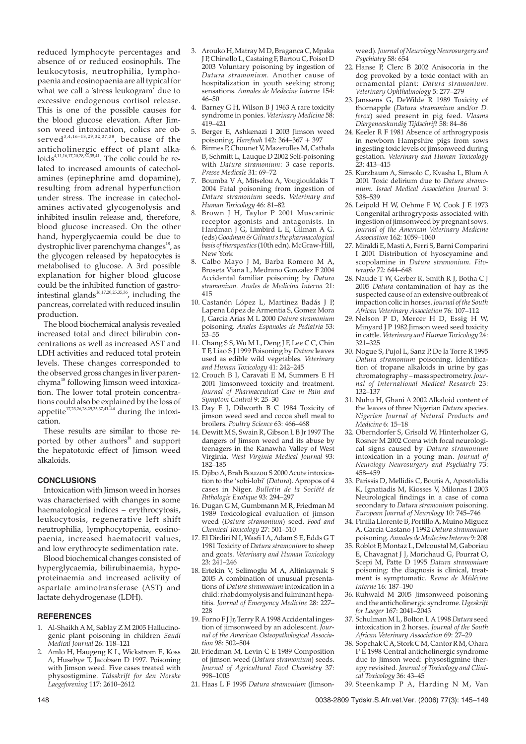reduced lymphocyte percentages and absence of or reduced eosinophils. The leukocytosis, neutrophilia, lymphopaenia and eosinopaenia are all typical for what we call a 'stress leukogram' due to excessive endogenous cortisol release. This is one of the possible causes for the blood glucose elevation. After Jimson weed intoxication, colics are observed<sup>3,4,16-18,29,32,37,38</sup>, because of the anticholinergic effect of plant alka- $\text{loids}^{4,11,16,17,20,28,32,35,41}$ . The colic could be related to increased amounts of catecholamines (epinephrine amd dopamine), resulting from adrenal hyperfunction under stress. The increase in catecholamines activated glycogenolysis and inhibited insulin release and, therefore, blood glucose increased. On the other hand, hyperglycaemia could be due to dystrophic liver parenchyma changes<sup>18</sup>, as the glycogen released by hepatocytes is metabolised to glucose. A 3rd possible explanation for higher blood glucose could be the inhibited function of gastrointestinal glands<sup>16,17,20,25,35,36</sup>, including the pancreas, correlated with reduced insulin production.

The blood biochemical analysis revealed increased total and direct bilirubin concentrations as well as increased AST and LDH activities and reduced total protein levels. These changes corresponded to the observed gross changes in liver parenchyma<sup>18</sup> following Jimson weed intoxication. The lower total protein concentrations could also be explained by the loss of appetite<sup>17,23,26,28,29,35,37,41–44</sup> during the intoxication.

These results are similar to those reported by other authors<sup>18</sup> and support the hepatotoxic effect of Jimson weed alkaloids.

### **CONCLUSIONS**

Intoxication with Jimson weed in horses was characterised with changes in some haematological indices – erythrocytosis, leukocytosis, regenerative left shift neutrophilia, lymphocytopenia, eosinopaenia, increased haematocrit values, and low erythrocyte sedimentation rate.

Blood biochemical changes consisted of hyperglycaemia, bilirubinaemia, hypoproteinaemia and increased activity of aspartate aminotransferase (AST) and lactate dehydrogenase (LDH).

#### **REFERENCES**

- 1. Al-Shaikh A M, Sablay Z M 2005 Hallucinogenic plant poisoning in children *Saudi Medical Journal* 26: 118–121
- 2. Amlo H, Haugeng K L, Wickstrøm E, Koss A, Husebye T, Jacobsen D 1997. Poisoning with Jimson weed. Five cases treated with physostigmine. *Tidsskrift for den Norske Laegeforening* 117: 2610–2612
- 3. Arouko H, Matray M D, Braganca C, Mpaka J P, Chinello L, Castaing F, Bartou C, Poisot D 2003 Voluntary poisoning by ingestion of *Datura stramonium.* Another cause of hospitalization in youth seeking strong sensations. *Annales de Medecine Interne* 154: 46–50
- 4. Barney G H, Wilson B J 1963 A rare toxicity syndrome in ponies. *Veterinary Medicine* 58: 419–421
- 5. Berger E, Ashkenazi I 2003 Jimson weed poisoning. *Harefuah* 142: 364–367 + 397
- Birmes P, Chounet V, Mazerolles M, Cathala B, Schmitt L, Lauque D 2002 Self-poisoning with *Datura stramonium*: 3 case reports. *Presse Medicale* 31: 69–72
- 7. Boumba V A, Mitselou A, Vougiouklakis T 2004 Fatal poisoning from ingestion of *Datura stramonium* seeds. *Veterinary and Human Toxicology* 46: 81–82
- 8. Brown J H, Taylor P 2001 Muscarinic receptor agonists and antagonists. In Hardman J G, Limbird L E, Gilman A G. (eds) *Goodman & Gilman, s the pharmacological basis of therapeutics*(10th edn). McGraw-Hill, New York
- 8. Calbo Mayo J M, Barba Romero M A, Broseta Viana L, Medrano Gonzalez F 2004 Accidental familiar poisoning by *Datura stramonium. Anales de Medicina Interna* 21: 415
- 10. Castanón López L, Martinez Badás J P, Lapena López de Armentia S, Gomez Mora J, Garcia Arias M L 2000 *Datura stramonium* poisoning. *Anales Espanoles de Pediatria* 53: 53–55
- 11. Chang S S, Wu M L, Deng J F, Lee C C, Chin T F, Liao S J 1999 Poisoning by *Datura* leaves used as edible wild vegetables. *Veterinary and Human Toxicology* 41: 242–245
- 12. Crouch B I, Caravati E M, Summers E H 2001 Jimsonweed toxicity and treatment. *Journal of Pharmaceutical Care in Pain and Symptom Control* 9: 25–30
- 13. Day E J, Dilworth B C 1984 Toxicity of jimson weed seed and cocoa shell meal to broilers. *Poultry Science* 63: 466–468
- 14. Dewitt M S, Swain R, Gibson L B Jr 1997 The dangers of Jimson weed and its abuse by teenagers in the Kanawha Valley of West Virginia. *West Virginia Medical Journal* 93: 182–185
- 15. Djibo A, Brah Bouzou S 2000 Acute intoxication to the 'sobi-lobi' (*Datura*). Apropos of 4 cases in Niger. *Bulletin de la Société de Pathologie Exotique* 93: 294–297
- 16. Dugan G M, Gumbmann M R, Friedman M 1989 Toxicological evaluation of jimson weed (*Datura stramonium*) seed. *Food and Chemical Toxicology* 27: 501–510
- 17. El Dirdiri N I, Wasfi I A, Adam S E, Edds G T 1981 Toxicity of *Datura stramonium* to sheep and goats. *Veterinary and Human Toxicology* 23: 241–246
- 18. Ertekin V, Selimoglu M A, Altinkaynak S 2005 A combination of unusual presentations of *Datura stramonium* intoxication in a child: rhabdomyolysis and fulminant hepatitis. *Journal of Emergency Medicine* 28: 227– 228
- 19. Forno F J Jr, Terry R A1998 Accidental ingestion of jimsonweed by an adolescent. *Journal of the American Osteopathological Association* 98: 502–504
- 20. Friedman M, Levin C E 1989 Composition of jimson weed (*Datura stramonium*) seeds. *Journal of Agricultural Food Chemistry* 37: 998–1005
- 21. Haas L F 1995 *Datura stramonium* (Jimson-

weed).*Journal of Neurology Neurosurgery and Psychiatry* 58: 654

- 22. Hanse P, Clerc B 2002 Anisocoria in the dog provoked by a toxic contact with an ornamental plant: *Datura stramonium. Veterinary Ophthalmology* 5: 277–279
- 23. Janssens G, DeWilde R 1989 Toxicity of thornapple (*Datura stramonium* and/or *D. ferox*) seed present in pig feed. *Vlaams Diergeneeskundig Tijdschrift* 58: 84–86
- 24. Keeler R F 1981 Absence of arthrogryposis in newborn Hampshire pigs from sows ingesting toxic levels of jimsonweed during gestation. *Veterinary and Human Toxicology* 23: 413–415
- 25. Kurzbaum A, Simsolo C, Kvasha L, Blum A 2001 Toxic delirium due to *Datura stramonium. Israel Medical Association Journal* 3: 538–539
- 26. Leipold H W, Oehme F W, Cook J E 1973 Congenital arthrogryposis associated with ingestion of jimsonweed by pregnant sows. *Journal of the American Veterinary Medicine Association* 162: 1059–1060
- 27. Miraldi E, Masti A, Ferri S, Barni Comparini I 2001 Distribution of hyoscyamine and scopolamine in *Datura stramonium. Fitoterapia* 72: 644–648
- 28. Naude T W, Gerber R, Smith R J, Botha C J 2005 *Datura* contamination of hay as the suspected cause of an extensive outbreak of impaction colic in horses.*Journal of the South African Veterinary Association* 76: 107–112
- 29. Nelson P D, Mercer H D, Essig H W, Minyard J P 1982 Jimson weed seed toxicity in cattle. *Veterinary and Human Toxicology* 24: 321–325
- 30. Nogue S, Pujol L, Sanz P, De la Torre R 1995 *Datura stramonium* poisoning. Identification of tropane alkaloids in urine by gas chromatography – mass spectrometry.*Journal of International Medical Research* 23: 132–137
- 31. Nuhu H, Ghani A 2002 Alkaloid content of the leaves of three Nigerian *Datura* species. *Nigerian Journal of Natural Products and Medicine* 6: 15–18
- 32. Oberndorfer S, Grisold W, Hinterholzer G, Rosner M 2002 Coma with focal neurological signs caused by *Datura stramonium* intoxication in a young man. *Journal of Neurology Neurosurgery and Psychiatry* 73: 458–459
- 33. Parissis D, Mellidis C, Boutis A, Apostolidis K, Ignatiadis M, Kiosses V, Milonas I 2003 Neurological findings in a case of coma secondary to *Datura stramonium* poisoning. *European Journal of Neurology* 10: 745–746
- 34. Pinilla Llorente B, Portillo A, Muino Miguez A, Garcia Castano J 1992 *Datura stramonium* poisoning.*Annales de Medecine Interne* 9: 208
- 35. Roblot F, Montaz L, Delcoustal M, Gaboriau E, Chavagnat J J, Morichaud G, Pourrat O, Scepi M, Patte D 1995 *Datura stramonium* poisoning: the diagnosis is clinical, treatment is symptomatic. *Revue de Médécine Interne* 16: 187–190
- 36. Ruhwald M 2005 Jimsonweed poisoning and the anticholinergic syndrome.*Ugeskrift for Laeger* 167: 2041–2043
- 37. Schulman M L, Bolton L A 1998 *Datura* seed intoxication in 2 horses. *Journal of the South African Veterinary Association* 69: 27–29
- 38. Sopchak C A, Stork C M, Cantor R M, Ohara P E 1998 Central anticholinergic syndrome due to Jimson weed: physostigmine therapy revisited. *Journal of Toxicology and Clinical Toxicology* 36: 43–45
- 39. Steenkamp P A, Harding N M, Van